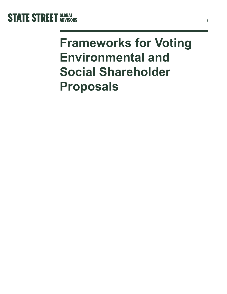

# **Frameworks for Voting Environmental and Social Shareholder Proposals**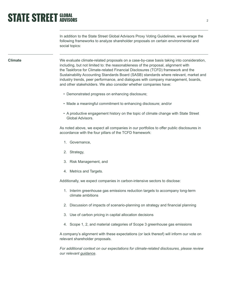# **STATE STREET GLOBAL**

In addition to the State Street Global Advisors Proxy Voting Guidelines, we leverage the following frameworks to analyze shareholder proposals on certain environmental and social topics:

#### **Climate**

We evaluate climate-related proposals on a case-by-case basis taking into consideration, including, but not limited to: the reasonableness of the proposal, alignment with the Taskforce for Climate-related Financial Disclosures (TCFD) framework and the Sustainability Accounting Standards Board (SASB) standards where relevant, market and industry trends, peer performance, and dialogues with company management, boards, and other stakeholders. We also consider whether companies have:

- Demonstrated progress on enhancing disclosure;
- Made a meaningful commitment to enhancing disclosure; and/or
- A productive engagement history on the topic of climate change with State Street Global Advisors.

As noted above, we expect all companies in our portfolios to offer public disclosures in accordance with the four pillars of the TCFD framework:

- 1. Governance,
- 2. Strategy,
- 3. Risk Management, and
- 4. Metrics and Targets.

Additionally, we expect companies in carbon-intensive sectors to disclose:

- 1. Interim greenhouse gas emissions reduction targets to accompany long-term climate ambitions
- 2. Discussion of impacts of scenario-planning on strategy and financial planning
- 3. Use of carbon pricing in capital allocation decisions
- 4. Scope 1, 2, and material categories of Scope 3 greenhouse gas emissions

A company's alignment with these expectations (or lack thereof) will inform our vote on relevant shareholder proposals.

*For additional context on our expectations for climate-related disclosures, please review our relevant [guidance](https://www.ssga.com/library-content/pdfs/asset-stewardship/guidance-on-climate-related-disclosures.pdf).*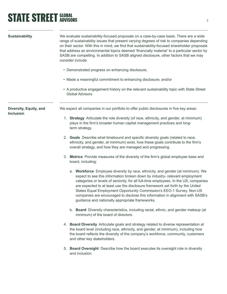## **STATE STREET GLOBAL STATE**

| <b>Sustainability</b>                      | We evaluate sustainability-focused proposals on a case-by-case basis. There are a wide<br>range of sustainability issues that present varying degrees of risk to companies depending<br>on their sector. With this in mind, we find that sustainability-focused shareholder proposals<br>that address an environmental topics deemed 'financially material' to a particular sector by<br>SASB are compelling. In addition to SASB aligned disclosure, other factors that we may<br>consider include:<br>• Demonstrated progress on enhancing disclosure;<br>• Made a meaningful commitment to enhancing disclosure; and/or<br>• A productive engagement history on the relevant sustainability topic with State Street<br><b>Global Advisors</b> |
|--------------------------------------------|--------------------------------------------------------------------------------------------------------------------------------------------------------------------------------------------------------------------------------------------------------------------------------------------------------------------------------------------------------------------------------------------------------------------------------------------------------------------------------------------------------------------------------------------------------------------------------------------------------------------------------------------------------------------------------------------------------------------------------------------------|
|                                            |                                                                                                                                                                                                                                                                                                                                                                                                                                                                                                                                                                                                                                                                                                                                                  |
| Diversity, Equity, and<br><b>Inclusion</b> | We expect all companies in our portfolio to offer public disclosures in five key areas:                                                                                                                                                                                                                                                                                                                                                                                                                                                                                                                                                                                                                                                          |
|                                            | 1. Strategy Articulate the role diversity (of race, ethnicity, and gender, at minimum)<br>plays in the firm's broader human capital management practices and long-<br>term strategy.                                                                                                                                                                                                                                                                                                                                                                                                                                                                                                                                                             |
|                                            | 2. Goals Describe what timebound and specific diversity goals (related to race,<br>ethnicity, and gender, at minimum) exist, how these goals contribute to the firm's<br>overall strategy, and how they are managed and progressing.                                                                                                                                                                                                                                                                                                                                                                                                                                                                                                             |
|                                            | 3. Metrics Provide measures of the diversity of the firm's global employee base and<br>board, including:                                                                                                                                                                                                                                                                                                                                                                                                                                                                                                                                                                                                                                         |
|                                            | a. Workforce Employee diversity by race, ethnicity, and gender (at minimum). We<br>expect to see this information broken down by industry- relevant employment<br>categories or levels of seniority, for all full-time employees. In the US, companies<br>are expected to at least use the disclosure framework set forth by the United<br>States Equal Employment Opportunity Commission's EEO-1 Survey. Non-US<br>companies are encouraged to disclose this information in alignment with SASB's<br>guidance and nationally appropriate frameworks.                                                                                                                                                                                            |
|                                            | b. Board Diversity characteristics, including racial, ethnic, and gender makeup (at<br>minimum) of the board of directors.                                                                                                                                                                                                                                                                                                                                                                                                                                                                                                                                                                                                                       |
|                                            | 4. Board Diversity Articulate goals and strategy related to diverse representation at<br>the board level (including race, ethnicity, and gender, at minimum), including how<br>the board reflects the diversity of the company's workforce, community, customers<br>and other key stakeholders.                                                                                                                                                                                                                                                                                                                                                                                                                                                  |
|                                            | 5. Board Oversight Describe how the board executes its oversight role in diversity<br>and inclusion.                                                                                                                                                                                                                                                                                                                                                                                                                                                                                                                                                                                                                                             |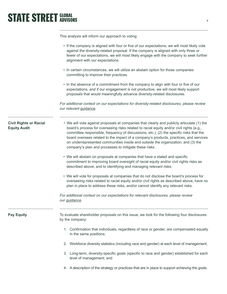### **STATE STREET GLOBAL STATE STREET GLOBAL**

This analysis will inform our approach to voting:

|                                                      | • If the company is aligned with four or five of our expectations, we will most likely vote<br>against the diversity-related proposal. If the company is aligned with only three or<br>fewer of our expectations, we will most likely engage with the company to seek further<br>alignment with our expectations.                                                                                                                                                                                                       |
|------------------------------------------------------|-------------------------------------------------------------------------------------------------------------------------------------------------------------------------------------------------------------------------------------------------------------------------------------------------------------------------------------------------------------------------------------------------------------------------------------------------------------------------------------------------------------------------|
|                                                      | • In certain circumstances, we will utilize an abstain option for those companies<br>committing to improve their practices.                                                                                                                                                                                                                                                                                                                                                                                             |
|                                                      | • In the absence of a commitment from the company to align with four or five of our<br>expectations, and if our engagement is not productive, we will most likely support<br>proposals that would meaningfully advance diversity-related disclosures.                                                                                                                                                                                                                                                                   |
|                                                      | For additional context on our expectations for diversity-related disclosures, please review<br>our relevant guidance.                                                                                                                                                                                                                                                                                                                                                                                                   |
| <b>Civil Rights or Racial</b><br><b>Equity Audit</b> | . We will vote against proposals at companies that clearly and publicly articulate (1) the<br>board's process for overseeing risks related to racial equity and/or civil rights (e.g.,<br>committee responsible, frequency of discussions, etc.); (2) the specific risks that the<br>board oversees related to the impact of a company's products, practices, and services<br>on underrepresented communities inside and outside the organization; and (3) the<br>company's plan and processes to mitigate these risks. |
|                                                      | • We will abstain on proposals at companies that have a stated and specific<br>commitment to improving board oversight of racial equity and/or civil rights risks as<br>described above, and to identifying and managing relevant risks.                                                                                                                                                                                                                                                                                |
|                                                      | • We will vote for proposals at companies that do not disclose the board's process for<br>overseeing risks related to racial equity and/or civil rights as described above, have no<br>plan in place to address these risks, and/or cannot identify any relevant risks.                                                                                                                                                                                                                                                 |
|                                                      | For additional context on our expectations for relevant disclosures, please review<br>our <i>guidance</i> .                                                                                                                                                                                                                                                                                                                                                                                                             |
| <b>Pay Equity</b>                                    | To evaluate shareholder proposals on this issue, we look for the following four disclosures<br>by the company:                                                                                                                                                                                                                                                                                                                                                                                                          |
|                                                      | 1. Confirmation that individuals, regardless of race or gender, are compensated equally<br>in the same positions;                                                                                                                                                                                                                                                                                                                                                                                                       |
|                                                      | 2. Workforce diversity statistics (including race and gender) at each level of management;                                                                                                                                                                                                                                                                                                                                                                                                                              |
|                                                      | 3. Long-term, diversity-specific goals (specific to race and gender) established for each<br>level of management; and                                                                                                                                                                                                                                                                                                                                                                                                   |
|                                                      | 4. A description of the strategy or practices that are in place to support achieving the goals.                                                                                                                                                                                                                                                                                                                                                                                                                         |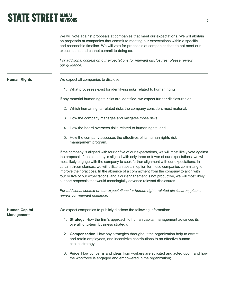# **STATE STREET GLOBAL**

We will vote against proposals at companies that meet our expectations. We will abstain on proposals at companies that commit to meeting our expectations within a specific and reasonable timeline. We will vote for proposals at companies that do not meet our expectations and cannot commit to doing so.

*For additional context on our expectations for relevant disclosures, please review our [guidance.](https://www.ssga.com/library-content/pdfs/asset-stewardship/guidance-on-diversity-disclosures-practices.pdf)* 

**Human Rights**

We expect all companies to disclose:

1. What processes exist for identifying risks related to human rights.

If any material human rights risks are identified, we expect further disclosures on

- 2. Which human rights-related risks the company considers most material;
- 3. How the company manages and mitigates those risks;
- 4. How the board oversees risks related to human rights; and
- 5. How the company assesses the effectives of its human rights risk management program.

If the company is aligned with four or five of our expectations, we will most likely vote against the proposal. If the company is aligned with only three or fewer of our expectations, we will most likely engage with the company to seek further alignment with our expectations. In certain circumstances, we will utilize an abstain option for those companies committing to improve their practices. In the absence of a commitment from the company to align with four or five of our expectations, and if our engagement is not productive, we will most likely support proposals that would meaningfully advance relevant disclosures.

*For additional context on our expectations for human rights-related disclosures, please review our relevant [guidance.](https://www.ssga.com/library-content/pdfs/global/human-rights-disclosure-practices.pdf)* 

| <b>Human Capital</b><br><b>Management</b> | We expect companies to publicly disclose the following information:                                                                                                                     |
|-------------------------------------------|-----------------------------------------------------------------------------------------------------------------------------------------------------------------------------------------|
|                                           | <b>Strategy</b> How the firm's approach to human capital management advances its<br>overall long-term business strategy;                                                                |
|                                           | 2. <b>Compensation</b> How pay strategies throughout the organization help to attract<br>and retain employees, and incentivize contributions to an effective human<br>capital strategy; |
|                                           | 3. Voice How concerns and ideas from workers are solicited and acted upon, and how<br>the workforce is engaged and empowered in the organization;                                       |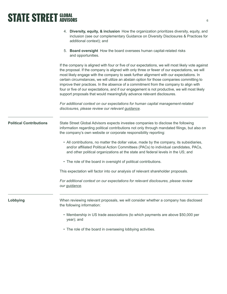#### **STATE STREET GLOBAL STATE STREET GLOBAL**

|                                | 4. Diversity, equity, & inclusion How the organization prioritizes diversity, equity, and<br>inclusion (see our complementary Guidance on Diversity Disclosures & Practices for<br>additional context); and                                                                                                                                                                                                                                                                                                                                                                                                                                                        |
|--------------------------------|--------------------------------------------------------------------------------------------------------------------------------------------------------------------------------------------------------------------------------------------------------------------------------------------------------------------------------------------------------------------------------------------------------------------------------------------------------------------------------------------------------------------------------------------------------------------------------------------------------------------------------------------------------------------|
|                                | 5. Board oversight How the board oversees human capital-related risks<br>and opportunities.                                                                                                                                                                                                                                                                                                                                                                                                                                                                                                                                                                        |
|                                | If the company is aligned with four or five of our expectations, we will most likely vote against<br>the proposal. If the company is aligned with only three or fewer of our expectations, we will<br>most likely engage with the company to seek further alignment with our expectations. In<br>certain circumstances, we will utilize an abstain option for those companies committing to<br>improve their practices. In the absence of a commitment from the company to align with<br>four or five of our expectations, and if our engagement is not productive, we will most likely<br>support proposals that would meaningfully advance relevant disclosures. |
|                                | For additional context on our expectations for human capital management-related<br>disclosures, please review our relevant guidance.                                                                                                                                                                                                                                                                                                                                                                                                                                                                                                                               |
| <b>Political Contributions</b> | State Street Global Advisors expects investee companies to disclose the following<br>information regarding political contributions not only through mandated filings, but also on<br>the company's own website or corporate responsibility reporting:                                                                                                                                                                                                                                                                                                                                                                                                              |
|                                | • All contributions, no matter the dollar value, made by the company, its subsidiaries,<br>and/or affiliated Political Action Committees (PACs) to individual candidates, PACs,<br>and other political organizations at the state and federal levels in the US; and                                                                                                                                                                                                                                                                                                                                                                                                |
|                                | • The role of the board in oversight of political contributions.                                                                                                                                                                                                                                                                                                                                                                                                                                                                                                                                                                                                   |
|                                | This expectation will factor into our analysis of relevant shareholder proposals.                                                                                                                                                                                                                                                                                                                                                                                                                                                                                                                                                                                  |
|                                | For additional context on our expectations for relevant disclosures, please review<br>our <i>guidance</i> .                                                                                                                                                                                                                                                                                                                                                                                                                                                                                                                                                        |
| Lobbying                       | When reviewing relevant proposals, we will consider whether a company has disclosed<br>the following information:                                                                                                                                                                                                                                                                                                                                                                                                                                                                                                                                                  |
|                                | • Membership in US trade associations (to which payments are above \$50,000 per<br>year); and                                                                                                                                                                                                                                                                                                                                                                                                                                                                                                                                                                      |

• The role of the board in overseeing lobbying activities.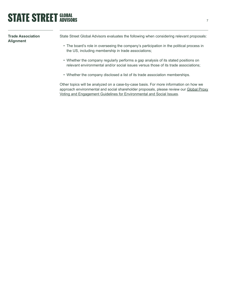### **STATE STREET GLOBAL STATE STREET GLOBAL**

**Trade Association Alignment**

State Street Global Advisors evaluates the following when considering relevant proposals:

- The board's role in overseeing the company's participation in the political process in the US, including membership in trade associations;
- Whether the company regularly performs a gap analysis of its stated positions on relevant environmental and/or social issues versus those of its trade associations;
- Whether the company disclosed a list of its trade association memberships.

Other topics will be analyzed on a case-by-case basis. For more information on how we approach environmental and social shareholder proposals, please review our Global Proxy [Voting and Engagement Guidelines for Environmental and Social Issues](https://www.ssga.com/library-content/pdfs/ic/global-Proxy-Voting-and-engagement-guidelines-es-issues.pdf).